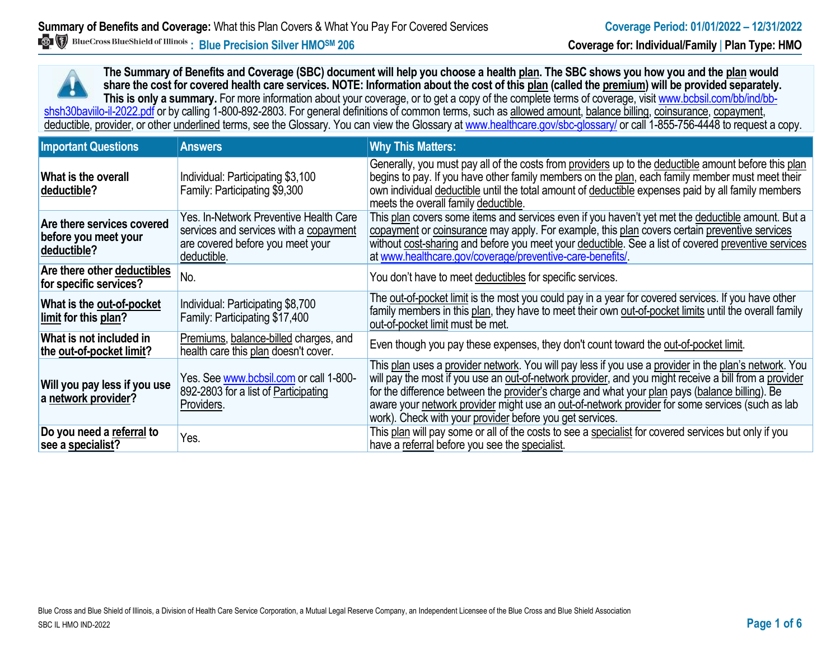**The Summary of Benefits and Coverage (SBC) document will help you choose a health plan. The SBC shows you how you and the plan would share the cost for covered health care services. NOTE: Information about the cost of this plan (called the premium) will be provided separately.** This is only a summary. For more information about your coverage, or to get a copy of the complete terms of coverage, visit www.bcbsil.com/bb/ind/bbshsh30baviilo-il-2022.pdf or by calling 1-800-892-2803. For general definitions of common terms, such as allowed amount, balance billing, coinsurance, copayment, deductible, provider, or other underlined terms, see the Glossary. You can view the Glossary a[t www.healthcare.gov/sbc-glossary/](http://www.healthcare.gov/sbc-glossary/) or call 1-855-756-4448 to request a copy.

| <b>Important Questions</b>                                        | <b>Answers</b>                                                                                                                      | <b>Why This Matters:</b>                                                                                                                                                                                                                                                                                                                                                                                                                                                        |
|-------------------------------------------------------------------|-------------------------------------------------------------------------------------------------------------------------------------|---------------------------------------------------------------------------------------------------------------------------------------------------------------------------------------------------------------------------------------------------------------------------------------------------------------------------------------------------------------------------------------------------------------------------------------------------------------------------------|
| What is the overall<br>deductible?                                | Individual: Participating \$3,100<br>Family: Participating \$9,300                                                                  | Generally, you must pay all of the costs from providers up to the deductible amount before this plan<br>begins to pay. If you have other family members on the plan, each family member must meet their<br>own individual deductible until the total amount of deductible expenses paid by all family members<br>meets the overall family deductible.                                                                                                                           |
| Are there services covered<br>before you meet your<br>deductible? | Yes. In-Network Preventive Health Care<br>services and services with a copayment<br>are covered before you meet your<br>deductible. | This plan covers some items and services even if you haven't yet met the deductible amount. But a<br>copayment or coinsurance may apply. For example, this plan covers certain preventive services<br>without cost-sharing and before you meet your deductible. See a list of covered preventive services<br>at www.healthcare.gov/coverage/preventive-care-benefits/                                                                                                           |
| Are there other deductibles<br>for specific services?             | No.                                                                                                                                 | You don't have to meet deductibles for specific services.                                                                                                                                                                                                                                                                                                                                                                                                                       |
| What is the out-of-pocket<br>limit for this plan?                 | Individual: Participating \$8,700<br>Family: Participating \$17,400                                                                 | The out-of-pocket limit is the most you could pay in a year for covered services. If you have other<br>family members in this plan, they have to meet their own out-of-pocket limits until the overall family<br>out-of-pocket limit must be met.                                                                                                                                                                                                                               |
| What is not included in<br>the out-of-pocket limit?               | Premiums, balance-billed charges, and<br>health care this plan doesn't cover.                                                       | Even though you pay these expenses, they don't count toward the out-of-pocket limit.                                                                                                                                                                                                                                                                                                                                                                                            |
| Will you pay less if you use<br>a network provider?               | Yes. See www.bcbsil.com or call 1-800-<br>892-2803 for a list of Participating<br>Providers.                                        | This plan uses a provider network. You will pay less if you use a provider in the plan's network. You<br>will pay the most if you use an out-of-network provider, and you might receive a bill from a provider<br>for the difference between the provider's charge and what your plan pays (balance billing). Be<br>aware your network provider might use an out-of-network provider for some services (such as lab<br>work). Check with your provider before you get services. |
| Do you need a referral to<br>see a specialist?                    | Yes.                                                                                                                                | This plan will pay some or all of the costs to see a specialist for covered services but only if you<br>have a referral before you see the specialist.                                                                                                                                                                                                                                                                                                                          |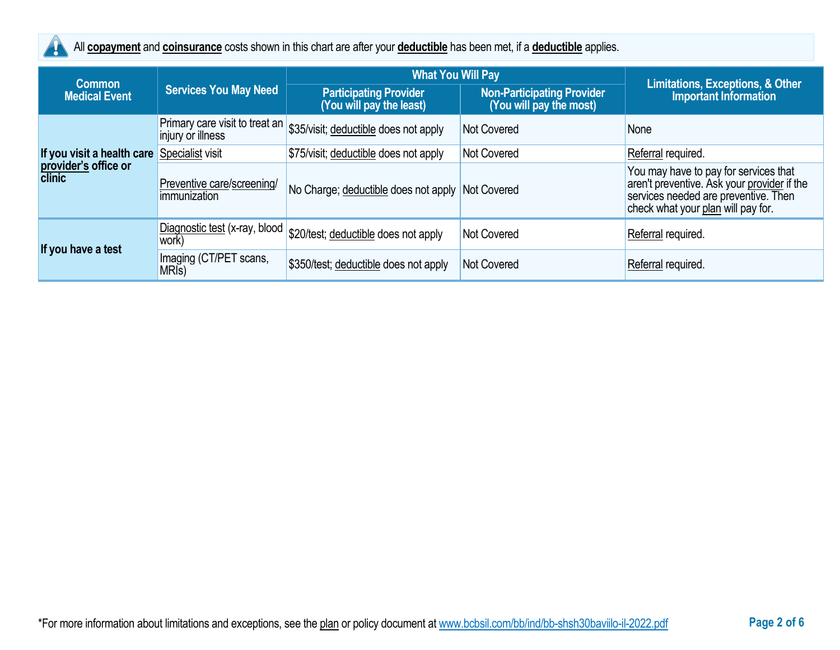

All **copayment** and **coinsurance** costs shown in this chart are after your **deductible** has been met, if a **deductible** applies.

| <b>Common</b>                         | <b>Services You May Need</b>                        | <b>What You Will Pay</b>                                  |                                                              |                                                                                                                                                                    |
|---------------------------------------|-----------------------------------------------------|-----------------------------------------------------------|--------------------------------------------------------------|--------------------------------------------------------------------------------------------------------------------------------------------------------------------|
| <b>Medical Event</b>                  |                                                     | <b>Participating Provider</b><br>(You will pay the least) | <b>Non-Participating Provider</b><br>(You will pay the most) | <b>Limitations, Exceptions, &amp; Other</b><br><b>Important Information</b>                                                                                        |
|                                       | Primary care visit to treat an<br>injury or illness | \$35/visit; deductible does not apply                     | <b>Not Covered</b>                                           | None                                                                                                                                                               |
| If you visit a health care            | Specialist visit                                    | \$75/visit; deductible does not apply                     | <b>Not Covered</b>                                           | Referral required.                                                                                                                                                 |
| provider's office or<br><b>clinic</b> | Preventive care/screening/<br>immunization          | No Charge; deductible does not apply                      | Not Covered                                                  | You may have to pay for services that<br>aren't preventive. Ask your provider if the<br>services needed are preventive. Then<br>check what your plan will pay for. |
| If you have a test                    | Diagnostic test (x-ray, blood<br>work)              | \$20/test; deductible does not apply                      | <b>Not Covered</b>                                           | Referral required.                                                                                                                                                 |
|                                       | Imaging (CT/PET scans,<br>MRI <sub>s</sub> )        | \$350/test; deductible does not apply                     | <b>Not Covered</b>                                           | Referral required.                                                                                                                                                 |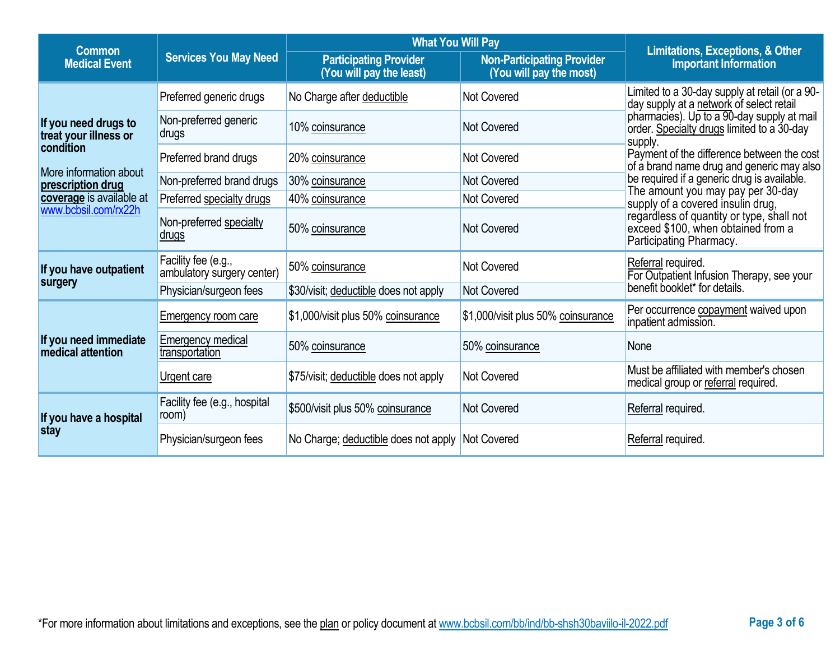| <b>Common</b>                                 |                                                   | <b>What You Will Pay</b>                                  |                                                              | <b>Limitations, Exceptions, &amp; Other</b>                                                                |  |
|-----------------------------------------------|---------------------------------------------------|-----------------------------------------------------------|--------------------------------------------------------------|------------------------------------------------------------------------------------------------------------|--|
| <b>Medical Event</b>                          | <b>Services You May Need</b>                      | <b>Participating Provider</b><br>(You will pay the least) | <b>Non-Participating Provider</b><br>(You will pay the most) | <b>Important Information</b>                                                                               |  |
|                                               | Preferred generic drugs                           | No Charge after deductible                                | <b>Not Covered</b>                                           | Limited to a 30-day supply at retail (or a 90-<br>day supply at a network of select retail                 |  |
| If you need drugs to<br>treat your illness or | Non-preferred generic<br>drugs                    | 10% coinsurance                                           | <b>Not Covered</b>                                           | pharmacies). Up to a 90-day supply at mail order. Specialty drugs limited to a 30-day<br>supply.           |  |
| condition                                     | Preferred brand drugs                             | 20% coinsurance                                           | <b>Not Covered</b>                                           | Payment of the difference between the cost<br>of a brand name drug and generic may also                    |  |
| More information about<br>prescription drug   | Non-preferred brand drugs                         | 30% coinsurance                                           | <b>Not Covered</b>                                           | be required if a generic drug is available.                                                                |  |
| coverage is available at                      | Preferred specialty drugs                         | 40% coinsurance                                           | <b>Not Covered</b>                                           | The amount you may pay per 30-day<br>supply of a covered insulin drug,                                     |  |
| www.bcbsil.com/rx22h                          | Non-preferred specialty<br><u>drugs</u>           | 50% coinsurance                                           | <b>Not Covered</b>                                           | regardless of quantity or type, shall not<br>exceed \$100, when obtained from a<br>Participating Pharmacy. |  |
| If you have outpatient                        | Facility fee (e.g.,<br>ambulatory surgery center) | 50% coinsurance                                           | <b>Not Covered</b>                                           | Referral required.<br>For Outpatient Infusion Therapy, see your                                            |  |
| surgery                                       | Physician/surgeon fees                            | \$30/visit; deductible does not apply                     | <b>Not Covered</b>                                           | benefit booklet* for details.                                                                              |  |
|                                               | <b>Emergency room care</b>                        | \$1,000/visit plus 50% coinsurance                        | \$1,000/visit plus 50% coinsurance                           | Per occurrence copayment waived upon<br>inpatient admission.                                               |  |
| If you need immediate<br>medical attention    | <b>Emergency medical</b><br>transportation        | 50% coinsurance                                           | 50% coinsurance                                              | None                                                                                                       |  |
|                                               | Urgent care                                       | \$75/visit; deductible does not apply                     | Not Covered                                                  | Must be affiliated with member's chosen<br>medical group or referral required.                             |  |
| If you have a hospital<br>stay                | Facility fee (e.g., hospital<br>room)             | \$500/visit plus 50% coinsurance                          | <b>Not Covered</b>                                           | Referral required.                                                                                         |  |
|                                               | Physician/surgeon fees                            | No Charge; deductible does not apply Not Covered          |                                                              | Referral required.                                                                                         |  |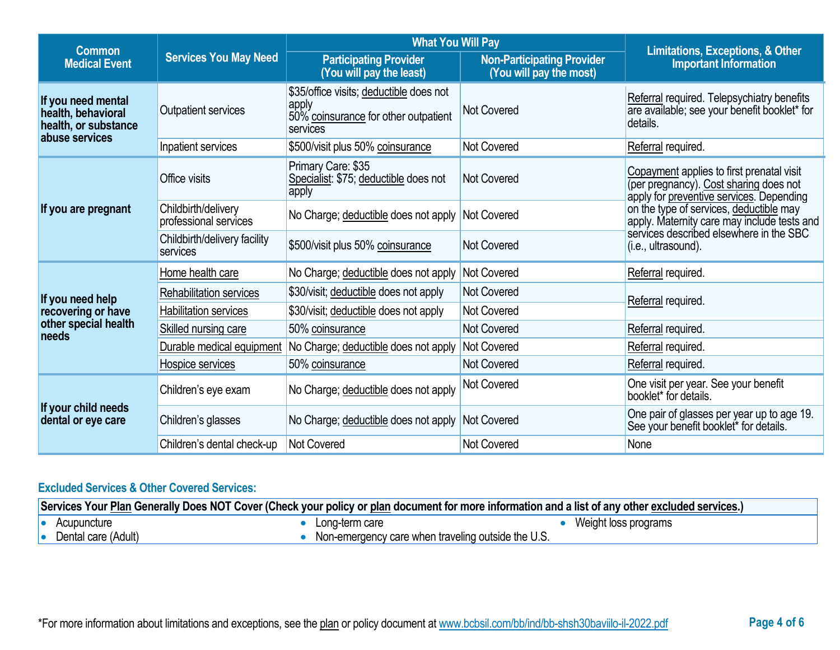| <b>Common</b>                                                                      |                                              | <b>What You Will Pay</b>                                                                             |                                                              |                                                                                                                                 |  |
|------------------------------------------------------------------------------------|----------------------------------------------|------------------------------------------------------------------------------------------------------|--------------------------------------------------------------|---------------------------------------------------------------------------------------------------------------------------------|--|
| <b>Medical Event</b>                                                               | <b>Services You May Need</b>                 | <b>Participating Provider</b><br>(You will pay the least)                                            | <b>Non-Participating Provider</b><br>(You will pay the most) | Limitations, Exceptions, & Other<br><b>Important Information</b>                                                                |  |
| If you need mental<br>health, behavioral<br>health, or substance<br>abuse services | Outpatient services                          | \$35/office visits; deductible does not<br>apply<br>50% coinsurance for other outpatient<br>services | <b>Not Covered</b>                                           | Referral required. Telepsychiatry benefits<br>are available; see your benefit booklet* for<br>details.                          |  |
|                                                                                    | Inpatient services                           | \$500/visit plus 50% coinsurance                                                                     | <b>Not Covered</b>                                           | Referral required.                                                                                                              |  |
| If you are pregnant                                                                | Office visits                                | Primary Care: \$35<br>Specialist: \$75; deductible does not<br>apply                                 | <b>Not Covered</b>                                           | Copayment applies to first prenatal visit<br>(per pregnancy). Cost sharing does not<br>apply for preventive services. Depending |  |
|                                                                                    | Childbirth/delivery<br>professional services | No Charge; deductible does not apply                                                                 | Not Covered                                                  | on the type of services, deductible may<br>apply. Maternity care may include tests and                                          |  |
|                                                                                    | Childbirth/delivery facility<br>services     | \$500/visit plus 50% coinsurance                                                                     | <b>Not Covered</b>                                           | services described elsewhere in the SBC<br>(i.e., ultrasound).                                                                  |  |
|                                                                                    | Home health care                             | No Charge; deductible does not apply                                                                 | <b>Not Covered</b>                                           | Referral required.                                                                                                              |  |
| If you need help                                                                   | Rehabilitation services                      | \$30/visit; deductible does not apply                                                                | <b>Not Covered</b>                                           |                                                                                                                                 |  |
| recovering or have                                                                 | <b>Habilitation services</b>                 | \$30/visit; deductible does not apply                                                                | Not Covered                                                  | Referral required.                                                                                                              |  |
| other special health<br>needs                                                      | Skilled nursing care                         | 50% coinsurance                                                                                      | <b>Not Covered</b>                                           | Referral required.                                                                                                              |  |
|                                                                                    | Durable medical equipment                    | No Charge; deductible does not apply                                                                 | <b>Not Covered</b>                                           | Referral required.                                                                                                              |  |
|                                                                                    | Hospice services                             | 50% coinsurance                                                                                      | <b>Not Covered</b>                                           | Referral required.                                                                                                              |  |
| If your child needs<br>dental or eye care                                          | Children's eye exam                          | No Charge; deductible does not apply                                                                 | <b>Not Covered</b>                                           | One visit per year. See your benefit<br>booklet* for details.                                                                   |  |
|                                                                                    | Children's glasses                           | No Charge; deductible does not apply                                                                 | Not Covered                                                  | One pair of glasses per year up to age 19.<br>See your benefit booklet* for details.                                            |  |
|                                                                                    | Children's dental check-up                   | Not Covered                                                                                          | <b>Not Covered</b>                                           | None                                                                                                                            |  |

# **Excluded Services & Other Covered Services:**

| Services Your Plan Generally Does NOT Cover (Check your policy or plan document for more information and a list of any other excluded services.) |                     |                                                    |                      |
|--------------------------------------------------------------------------------------------------------------------------------------------------|---------------------|----------------------------------------------------|----------------------|
|                                                                                                                                                  | Acupuncture         | Long-term care                                     | Weight loss programs |
|                                                                                                                                                  | Dental care (Adult) | Non-emergency care when traveling outside the U.S. |                      |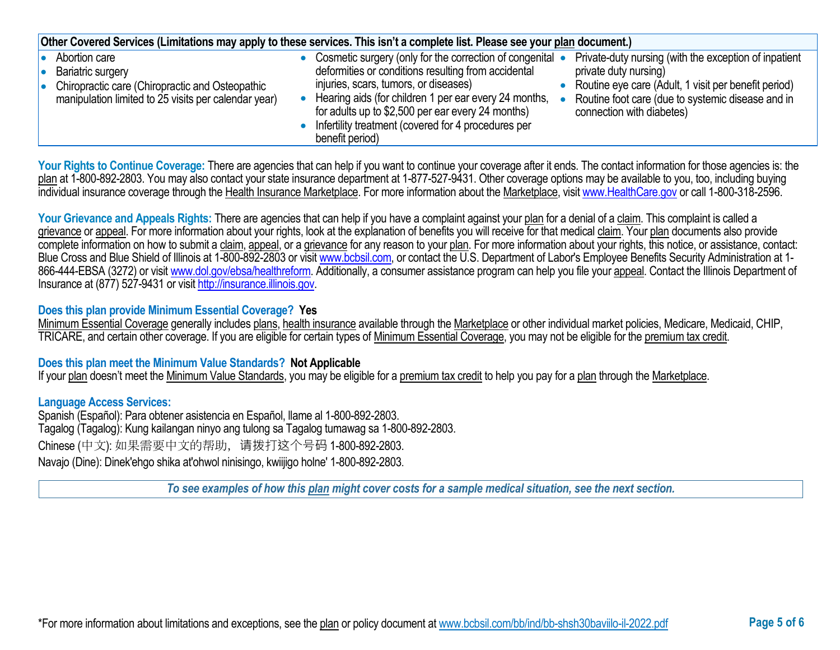| Other Covered Services (Limitations may apply to these services. This isn't a complete list. Please see your plan document.)                              |                                                                                                                                                                                                                                                                                                                                                                                                                                                                                                                                                                                   |  |  |  |
|-----------------------------------------------------------------------------------------------------------------------------------------------------------|-----------------------------------------------------------------------------------------------------------------------------------------------------------------------------------------------------------------------------------------------------------------------------------------------------------------------------------------------------------------------------------------------------------------------------------------------------------------------------------------------------------------------------------------------------------------------------------|--|--|--|
| Abortion care<br>Bariatric surgery<br>10<br>Chiropractic care (Chiropractic and Osteopathic<br>I۰<br>manipulation limited to 25 visits per calendar year) | Private-duty nursing (with the exception of inpatient<br>• Cosmetic surgery (only for the correction of congenital •<br>deformities or conditions resulting from accidental<br>private duty nursing)<br>injuries, scars, tumors, or diseases)<br>Routine eye care (Adult, 1 visit per benefit period)<br>Hearing aids (for children 1 per ear every 24 months,<br>Routine foot care (due to systemic disease and in<br>for adults up to \$2,500 per ear every 24 months)<br>connection with diabetes)<br>• Infertility treatment (covered for 4 procedures per<br>benefit period) |  |  |  |

Your Rights to Continue Coverage: There are agencies that can help if you want to continue your coverage after it ends. The contact information for those agencies is: the plan at 1-800-892-2803. You may also contact your state insurance department at 1-877-527-9431. Other coverage options may be available to you, too, including buying individual insurance coverage through the Health Insurance Marketplace. For more information about the Marketplace, visi[t www.HealthCare.gov](http://www.healthcare.gov/) or call 1-800-318-2596.

Your Grievance and Appeals Rights: There are agencies that can help if you have a complaint against your plan for a denial of a claim. This complaint is called a grievance or appeal. For more information about your rights, look at the explanation of benefits you will receive for that medical claim. Your plan documents also provide complete information on how to submit a claim, appeal, or a grievance for any reason to your plan. For more information about your rights, this notice, or assistance, contact: Blue Cross and Blue Shield of Illinois at 1-800-892-2803 or visit [www.bcbsil.com,](http://www.bcbsil.com/) or contact the U.S. Department of Labor's Employee Benefits Security Administration at 1866-444-EBSA (3272) or visit [www.dol.gov/ebsa/healthreform.](http://www.dol.gov/ebsa/healthreform) Additionally, a consumer assistance program can help you file your appeal. Contact the Illinois Department of Insurance at (877) 527-9431 or visi[t http://insurance.illinois.gov.](http://insurance.illinois.gov/)

### **Does this plan provide Minimum Essential Coverage? Yes**

Minimum Essential Coverage generally includes plans, health insurance available through the Marketplace or other individual market policies, Medicare, Medicaid, CHIP, TRICARE, and certain other coverage. If you are eligible for certain types of Minimum Essential Coverage, you may not be eligible for the premium tax credit.

### **Does this plan meet the Minimum Value Standards? Not Applicable**

If your plan doesn't meet the Minimum Value Standards, you may be eligible for a premium tax credit to help you pay for a plan through the Marketplace.

### **Language Access Services:**

Spanish (Español): Para obtener asistencia en Español, llame al 1-800-892-2803. Tagalog (Tagalog): Kung kailangan ninyo ang tulong sa Tagalog tumawag sa 1-800-892-2803. Chinese (中文): 如果需要中文的帮助,请拨打这个号码 1-800-892-2803. Navajo (Dine): Dinek'ehgo shika at'ohwol ninisingo, kwiijigo holne' 1-800-892-2803.

*To see examples of how this plan might cover costs for a sample medical situation, see the next section.*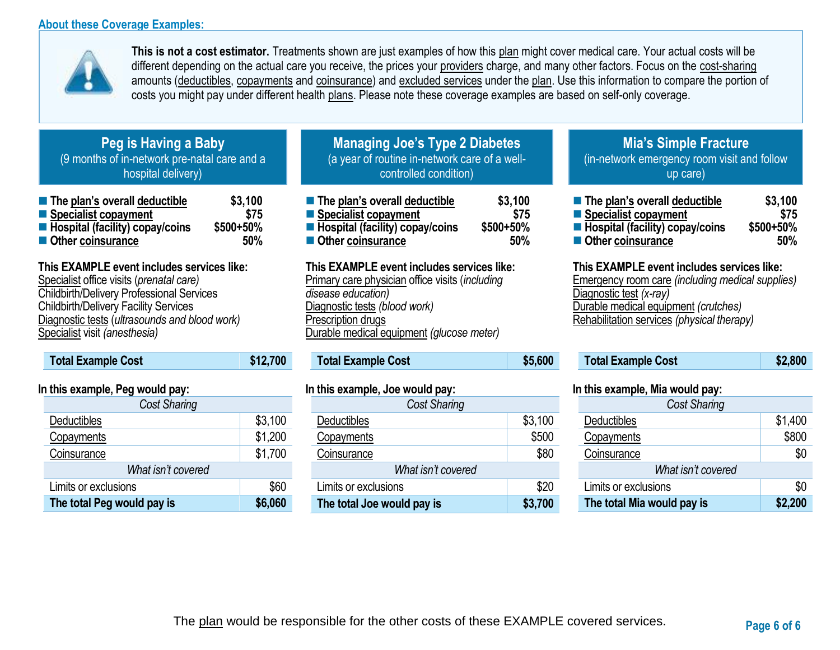## **About these Coverage Examples:**



**This is not a cost estimator.** Treatments shown are just examples of how this plan might cover medical care. Your actual costs will be different depending on the actual care you receive, the prices your providers charge, and many other factors. Focus on the cost-sharing amounts (deductibles, copayments and coinsurance) and excluded services under the plan. Use this information to compare the portion of costs you might pay under different health plans. Please note these coverage examples are based on self-only coverage.

# **Peg is Having a Baby** (9 months of in-network pre-natal care and a hospital delivery)

| ■ The plan's overall deductible   | \$3,100   |
|-----------------------------------|-----------|
| ■ Specialist copayment            | \$75      |
| ■ Hospital (facility) copay/coins | \$500+50% |
| ■ Other coinsurance               | 50%       |

# **This EXAMPLE event includes services like:**

Specialist office visits (*prenatal care)* Childbirth/Delivery Professional Services Childbirth/Delivery Facility Services Diagnostic tests (*ultrasounds and blood work)* Specialist visit *(anesthesia)* 

| <b>Total Example Cost</b> | \$12,700 |
|---------------------------|----------|
|                           |          |

## **In this example, Peg would pay:**

| <b>Cost Sharing</b>        |         |  |
|----------------------------|---------|--|
| Deductibles                | \$3,100 |  |
| Copayments                 | \$1,200 |  |
| Coinsurance                | \$1,700 |  |
| What isn't covered         |         |  |
| Limits or exclusions       | \$60    |  |
| The total Peg would pay is | \$6,060 |  |

# **Managing Joe's Type 2 Diabetes** (a year of routine in-network care of a wellcontrolled condition)

| $\blacksquare$ The plan's overall deductible | \$3,100   |
|----------------------------------------------|-----------|
| ■ Specialist copayment                       | \$75      |
| ■ Hospital (facility) copay/coins            | \$500+50% |
| Other coinsurance                            | 50%       |

## **This EXAMPLE event includes services like:**

Primary care physician office visits (*including disease education)* Diagnostic tests *(blood work)* Prescription drugs Durable medical equipment *(glucose meter)* 

# **Total Example Cost \$5,600**

### **In this example, Joe would pay:**

| Cost Sharing               |         |  |
|----------------------------|---------|--|
| Deductibles                | \$3,100 |  |
| Copayments                 | \$500   |  |
| Coinsurance                | \$80    |  |
| What isn't covered         |         |  |
| Limits or exclusions       |         |  |
| The total Joe would pay is | \$3,700 |  |

## **Mia's Simple Fracture** (in-network emergency room visit and follow up care)

| ■ The plan's overall deductible                | \$3,100     |
|------------------------------------------------|-------------|
| ■ Specialist copayment                         | \$75        |
| $\blacksquare$ Hospital (facility) copay/coins | $$500+50\%$ |
| ■ Other coinsurance                            | 50%         |

### **This EXAMPLE event includes services like:**

Emergency room care *(including medical supplies)* Diagnostic test *(x-ray)* Durable medical equipment *(crutches)* Rehabilitation services *(physical therapy)*

| <b>Total Example Cost</b> | \$2,800 |
|---------------------------|---------|
|---------------------------|---------|

### **In this example, Mia would pay:**

| <b>Cost Sharing</b>        |         |  |
|----------------------------|---------|--|
| Deductibles                | \$1,400 |  |
| Copayments                 | \$800   |  |
| Coinsurance                | \$0     |  |
| What isn't covered         |         |  |
| Limits or exclusions       | \$0     |  |
| The total Mia would pay is | \$2,200 |  |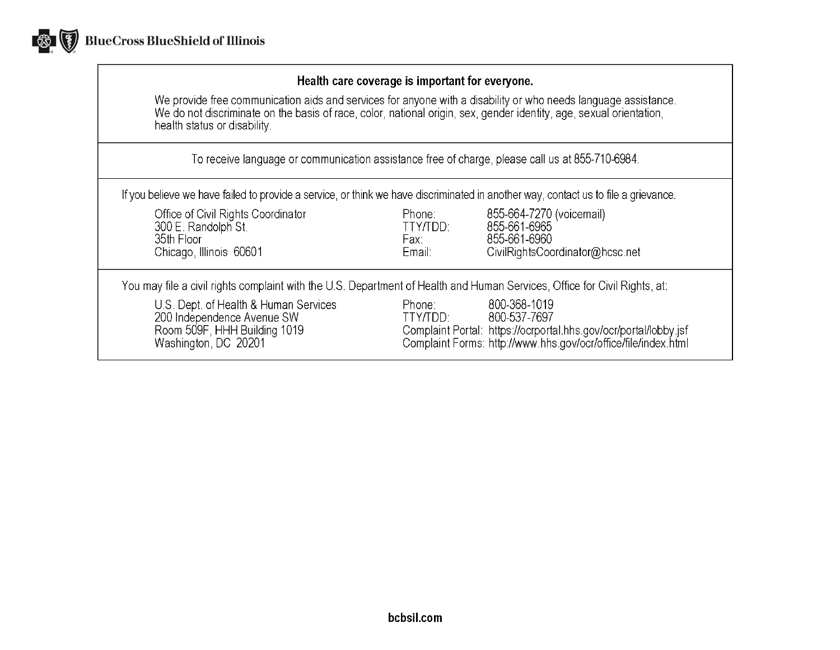

## Health care coverage is important for everyone.

We provide free communication aids and services for anyone with a disability or who needs language assistance.<br>We do not discriminate on the basis of race, color, national origin, sex, gender identity, age, sexual orientat health status or disability.

To receive language or communication assistance free of charge, please call us at 855-710-6984.

If you believe we have failed to provide a service, or think we have discriminated in another way, contact us to file a grievance.

| Office of Civil Rights Coordinator<br>300 E. Randolph St.<br>35th Floor<br>Chicago, Illinois 60601                          | Phone:<br>TTY/TDD:<br>Fax:<br>Email: | 855-664-7270 (voicemail)<br>855-661-6965<br>855-661-6960<br>CivilRightsCoordinator@hcsc.net                                                                        |
|-----------------------------------------------------------------------------------------------------------------------------|--------------------------------------|--------------------------------------------------------------------------------------------------------------------------------------------------------------------|
| You may file a civil rights complaint with the U.S. Department of Health and Human Services, Office for Civil Rights, at:   |                                      |                                                                                                                                                                    |
| U.S. Dept. of Health & Human Services<br>200 Independence Avenue SW<br>Room 509F, HHH Building 1019<br>Washington, DC 20201 | Phone:<br>TTY/TDD:                   | 800-368-1019<br>800-537-7697<br>Complaint Portal: https://ocrportal.hhs.gov/ocr/portal/lobby.jsf<br>Complaint Forms: http://www.hhs.gov/ocr/office/file/index.html |